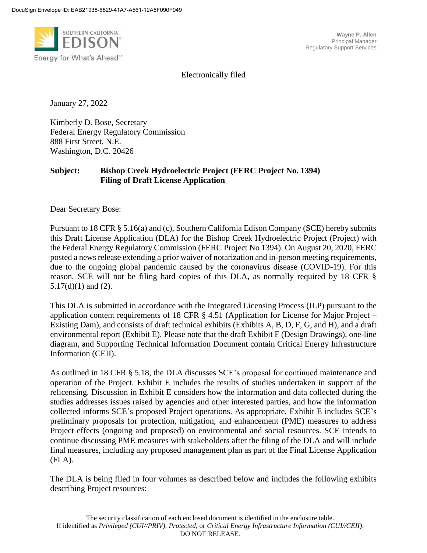

**Wayne P. Allen** Principal Manager Regulatory Support Services

Electronically filed

January 27, 2022

Kimberly D. Bose, Secretary Federal Energy Regulatory Commission 888 First Street, N.E. Washington, D.C. 20426

# **Subject: Bishop Creek Hydroelectric Project (FERC Project No. 1394) Filing of Draft License Application**

Dear Secretary Bose:

Pursuant to 18 CFR § 5.16(a) and (c), Southern California Edison Company (SCE) hereby submits this Draft License Application (DLA) for the Bishop Creek Hydroelectric Project (Project) with the Federal Energy Regulatory Commission (FERC Project No 1394). On August 20, 2020, FERC posted a news release extending a prior waiver of notarization and in-person meeting requirements, due to the ongoing global pandemic caused by the coronavirus disease (COVID-19). For this reason, SCE will not be filing hard copies of this DLA, as normally required by 18 CFR § 5.17(d)(1) and (2).

This DLA is submitted in accordance with the Integrated Licensing Process (ILP) pursuant to the application content requirements of 18 CFR § 4.51 (Application for License for Major Project – Existing Dam), and consists of draft technical exhibits (Exhibits A, B, D, F, G, and H), and a draft environmental report (Exhibit E). Please note that the draft Exhibit F (Design Drawings), one-line diagram, and Supporting Technical Information Document contain Critical Energy Infrastructure Information (CEII).

As outlined in 18 CFR § 5.18, the DLA discusses SCE's proposal for continued maintenance and operation of the Project. Exhibit E includes the results of studies undertaken in support of the relicensing. Discussion in Exhibit E considers how the information and data collected during the studies addresses issues raised by agencies and other interested parties, and how the information collected informs SCE's proposed Project operations. As appropriate, Exhibit E includes SCE's preliminary proposals for protection, mitigation, and enhancement (PME) measures to address Project effects (ongoing and proposed) on environmental and social resources. SCE intends to continue discussing PME measures with stakeholders after the filing of the DLA and will include final measures, including any proposed management plan as part of the Final License Application (FLA).

The DLA is being filed in four volumes as described below and includes the following exhibits describing Project resources: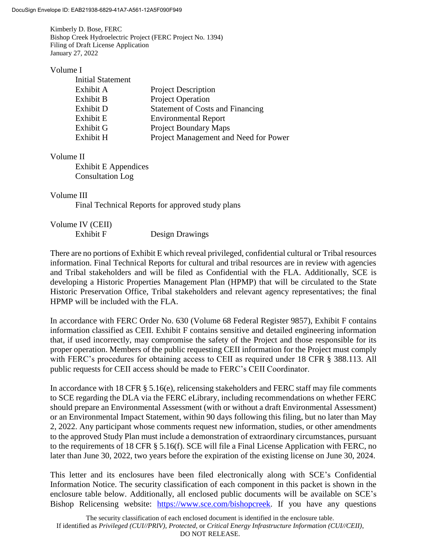Kimberly D. Bose, FERC Bishop Creek Hydroelectric Project (FERC Project No. 1394) Filing of Draft License Application January 27, 2022

### Volume I

| <b>Initial Statement</b> |                                         |
|--------------------------|-----------------------------------------|
| Exhibit A                | <b>Project Description</b>              |
| Exhibit B                | <b>Project Operation</b>                |
| Exhibit D                | <b>Statement of Costs and Financing</b> |
| Exhibit E                | <b>Environmental Report</b>             |
| Exhibit G                | <b>Project Boundary Maps</b>            |
| Exhibit H                | Project Management and Need for Power   |

## Volume II

Exhibit E Appendices Consultation Log

## Volume III

Final Technical Reports for approved study plans

| Volume IV (CEII) |                        |
|------------------|------------------------|
| Exhibit F        | <b>Design Drawings</b> |

There are no portions of Exhibit E which reveal privileged, confidential cultural or Tribal resources information. Final Technical Reports for cultural and tribal resources are in review with agencies and Tribal stakeholders and will be filed as Confidential with the FLA. Additionally, SCE is developing a Historic Properties Management Plan (HPMP) that will be circulated to the State Historic Preservation Office, Tribal stakeholders and relevant agency representatives; the final HPMP will be included with the FLA.

In accordance with FERC Order No. 630 (Volume 68 Federal Register 9857), Exhibit F contains information classified as CEII. Exhibit F contains sensitive and detailed engineering information that, if used incorrectly, may compromise the safety of the Project and those responsible for its proper operation. Members of the public requesting CEII information for the Project must comply with FERC's procedures for obtaining access to CEII as required under 18 CFR § 388.113. All public requests for CEII access should be made to FERC's CEII Coordinator.

In accordance with 18 CFR § 5.16(e), relicensing stakeholders and FERC staff may file comments to SCE regarding the DLA via the FERC eLibrary, including recommendations on whether FERC should prepare an Environmental Assessment (with or without a draft Environmental Assessment) or an Environmental Impact Statement, within 90 days following this filing, but no later than May 2, 2022. Any participant whose comments request new information, studies, or other amendments to the approved Study Plan must include a demonstration of extraordinary circumstances, pursuant to the requirements of 18 CFR § 5.16(f). SCE will file a Final License Application with FERC, no later than June 30, 2022, two years before the expiration of the existing license on June 30, 2024.

This letter and its enclosures have been filed electronically along with SCE's Confidential Information Notice. The security classification of each component in this packet is shown in the enclosure table below. Additionally, all enclosed public documents will be available on SCE's Bishop Relicensing website: [https://www.sce.com/bishopcreek.](https://www.sce.com/tl/regulatory/hydro-licensing/bishop-creek-project-relicensing) If you have any questions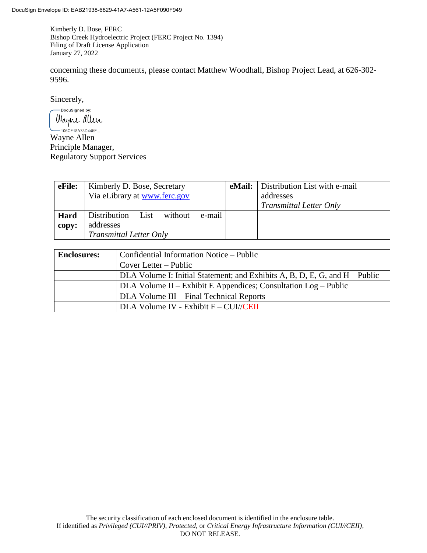Kimberly D. Bose, FERC Bishop Creek Hydroelectric Project (FERC Project No. 1394) Filing of Draft License Application January 27, 2022

concerning these documents, please contact Matthew Woodhall, Bishop Project Lead, at 626-302- 9596.

Sincerely,

-DocuSigned by: Wayne allen<br>Wayne Allen<br>Wayne Allen

Principle Manager, Regulatory Support Services

| eFile: | Kimberly D. Bose, Secretary               |  | <b>eMail:</b> Distribution List with e-mail |
|--------|-------------------------------------------|--|---------------------------------------------|
|        | Via eLibrary at www.ferc.gov              |  | addresses                                   |
|        |                                           |  | <b>Transmittal Letter Only</b>              |
| Hard   | Distribution<br>without<br>e-mail<br>List |  |                                             |
| copy:  | addresses                                 |  |                                             |
|        | <b>Transmittal Letter Only</b>            |  |                                             |

| <b>Enclosures:</b> | Confidential Information Notice – Public                                    |  |
|--------------------|-----------------------------------------------------------------------------|--|
|                    | Cover Letter – Public                                                       |  |
|                    | DLA Volume I: Initial Statement; and Exhibits A, B, D, E, G, and H – Public |  |
|                    | DLA Volume II – Exhibit E Appendices; Consultation Log – Public             |  |
|                    | DLA Volume III – Final Technical Reports                                    |  |
|                    | $DLA$ Volume IV - Exhibit $F - CUI/CEII$                                    |  |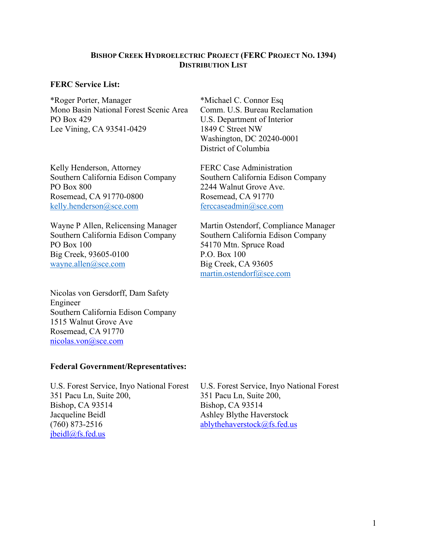# **BISHOP CREEK HYDROELECTRIC PROJECT (FERC PROJECT NO. 1394) DISTRIBUTION LIST**

## **FERC Service List:**

\*Roger Porter, Manager Mono Basin National Forest Scenic Area PO Box 429 Lee Vining, CA 93541-0429

Kelly Henderson, Attorney Southern California Edison Company PO Box 800 Rosemead, CA 91770-0800 [kelly.henderson@sce.com](mailto:kelly.henderson@sce.com) 

Wayne P Allen, Relicensing Manager Southern California Edison Company PO Box 100 Big Creek, 93605-0100 [wayne.allen@sce.com](mailto:wayne.allen@sce.com) 

Nicolas von Gersdorff, Dam Safety Engineer Southern California Edison Company 1515 Walnut Grove Ave Rosemead, CA 91770 [nicolas.von@sce.com](mailto:nicolas.von@sce.com)

## **Federal Government/Representatives:**

U.S. Forest Service, Inyo National Forest 351 Pacu Ln, Suite 200, Bishop, CA 93514 Jacqueline Beidl (760) 873-2516 [jbeidl@fs.fed.us](mailto:jbeidl@fs.fed.us)

\*Michael C. Connor Esq Comm. U.S. Bureau Reclamation U.S. Department of Interior 1849 C Street NW Washington, DC 20240-0001 District of Columbia

FERC Case Administration Southern California Edison Company 2244 Walnut Grove Ave. Rosemead, CA 91770 [ferccaseadmin@sce.com](mailto:ferccaseadmin@sce.com) 

Martin Ostendorf, Compliance Manager Southern California Edison Company 54170 Mtn. Spruce Road P.O. Box 100 Big Creek, CA 93605 [martin.ostendorf@sce.com](mailto:martin.ostendorf@sce.com) 

U.S. Forest Service, Inyo National Forest 351 Pacu Ln, Suite 200, Bishop, CA 93514 Ashley Blythe Haverstock [ablythehaverstock@fs.fed.us](mailto:ablythehaverstock@fs.fed.us)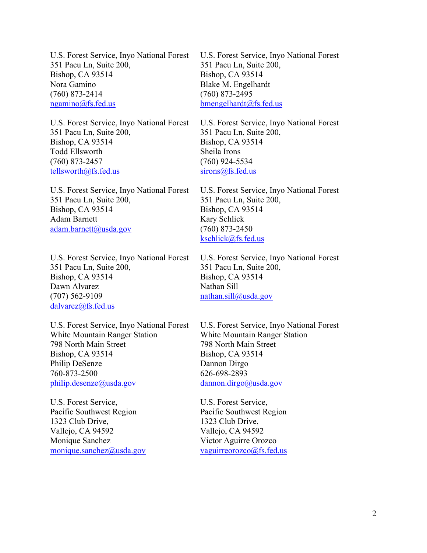U.S. Forest Service, Inyo National Forest 351 Pacu Ln, Suite 200, Bishop, CA 93514 Nora Gamino (760) 873-2414 [ngamino@fs.fed.us](mailto:ngamino@fs.fed.us)

U.S. Forest Service, Inyo National Forest 351 Pacu Ln, Suite 200, Bishop, CA 93514 Todd Ellsworth (760) 873-2457 [tellsworth@fs.fed.us](mailto:tellsworth@fs.fed.us)

U.S. Forest Service, Inyo National Forest 351 Pacu Ln, Suite 200, Bishop, CA 93514 Adam Barnett [adam.barnett@usda.gov](mailto:adam.barnett@usda.gov)

U.S. Forest Service, Inyo National Forest 351 Pacu Ln, Suite 200, Bishop, CA 93514 Dawn Alvarez (707) 562-9109 [dalvarez@fs.fed.us](mailto:dalvarez@fs.fed.us)

U.S. Forest Service, Inyo National Forest White Mountain Ranger Station 798 North Main Street Bishop, CA 93514 Philip DeSenze 760-873-2500 [philip.desenze@usda.gov](mailto:philip.desenze@usda.gov)

U.S. Forest Service, Pacific Southwest Region 1323 Club Drive, Vallejo, CA 94592 Monique Sanchez [monique.sanchez@usda.gov](mailto:monique.sanchez@usda.gov) U.S. Forest Service, Inyo National Forest 351 Pacu Ln, Suite 200, Bishop, CA 93514 Blake M. Engelhardt (760) 873-2495 [bmengelhardt@fs.fed.us](mailto:bmengelhardt@fs.fed.us)

U.S. Forest Service, Inyo National Forest 351 Pacu Ln, Suite 200, Bishop, CA 93514 Sheila Irons (760) 924-5534 [sirons@fs.fed.us](mailto:sirons@fs.fed.us)

U.S. Forest Service, Inyo National Forest 351 Pacu Ln, Suite 200, Bishop, CA 93514 Kary Schlick (760) 873-2450 [kschlick@fs.fed.us](mailto:kschlick@fs.fed.us)

U.S. Forest Service, Inyo National Forest 351 Pacu Ln, Suite 200, Bishop, CA 93514 Nathan Sill [nathan.sill@usda.gov](mailto:nathan.sill@usda.gov)

U.S. Forest Service, Inyo National Forest White Mountain Ranger Station 798 North Main Street Bishop, CA 93514 Dannon Dirgo 626-698-2893 [dannon.dirgo@usda.gov](mailto:dannon.dirgo@usda.gov)

U.S. Forest Service, Pacific Southwest Region 1323 Club Drive, Vallejo, CA 94592 Victor Aguirre Orozco [vaguirreorozco@fs.fed.us](mailto:vaguirreorozco@fs.fed.us)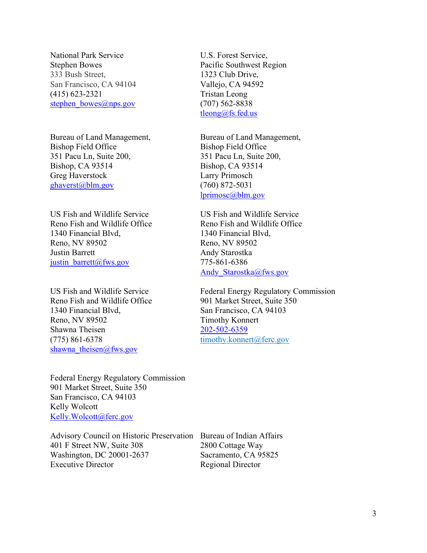National Park Service Stephen Bowes 333 Bush Street, San Francisco, CA 94104 (415) 623-2321 [stephen\\_bowes@nps.gov](mailto:stephen_bowes@nps.gov)

Bureau of Land Management, Bishop Field Office 351 Pacu Ln, Suite 200, Bishop, CA 93514 Greg Haverstock [ghaverst@blm.gov](mailto:ghaverst@blm.gov)

US Fish and Wildlife Service Reno Fish and Wildlife Office 1340 Financial Blvd, Reno, NV 89502 Justin Barrett [justin\\_barrett@fws.gov](mailto:justin_barrett@fws.gov)

US Fish and Wildlife Service Reno Fish and Wildlife Office 1340 Financial Blvd, Reno, NV 89502 Shawna Theisen (775) 861-6378 shawna theisen@fws.gov

U.S. Forest Service, Pacific Southwest Region 1323 Club Drive, Vallejo, CA 94592 Tristan Leong (707) 562-8838 [tleong@fs.fed.us](mailto:tleong@fs.fed.us)

Bureau of Land Management, Bishop Field Office 351 Pacu Ln, Suite 200, Bishop, CA 93514 Larry Primosch (760) 872-5031 [lprimosc@blm.gov](mailto:lprimosc@blm.gov)

US Fish and Wildlife Service Reno Fish and Wildlife Office 1340 Financial Blvd, Reno, NV 89502 Andy Starostka 775-861-6386 Andy Starostka@fws.gov

Federal Energy Regulatory Commission 901 Market Street, Suite 350 San Francisco, CA 94103 Timothy Konnert [202-502-6359](tel:202-502-6359) [timothy.konnert@ferc.gov](mailto:timothy.konnert@ferc.gov)

Federal Energy Regulatory Commission 901 Market Street, Suite 350 San Francisco, CA 94103 Kelly Wolcott [Kelly.Wolcott@ferc.gov](mailto:Kelly.Wolcott@ferc.gov)

Advisory Council on Historic Preservation Bureau of Indian Affairs 401 F Street NW, Suite 308 Washington, DC 20001-2637 Executive Director

2800 Cottage Way Sacramento, CA 95825 Regional Director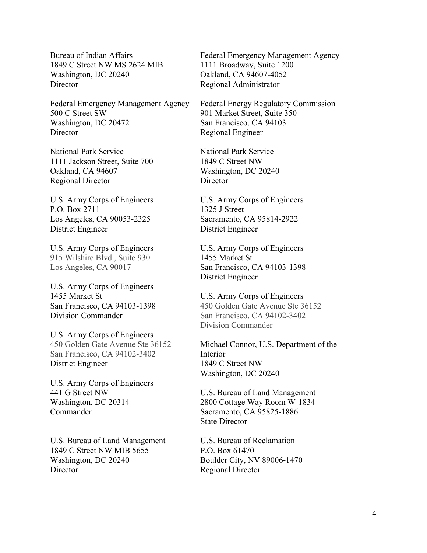Bureau of Indian Affairs 1849 C Street NW MS 2624 MIB Washington, DC 20240 **Director** 

Federal Emergency Management Agency 500 C Street SW Washington, DC 20472 **Director** 

National Park Service 1111 Jackson Street, Suite 700 Oakland, CA 94607 Regional Director

U.S. Army Corps of Engineers P.O. Box 2711 Los Angeles, CA 90053-2325 District Engineer

U.S. Army Corps of Engineers 915 Wilshire Blvd., Suite 930 Los Angeles, CA 90017

U.S. Army Corps of Engineers 1455 Market St San Francisco, CA 94103-1398 Division Commander

U.S. Army Corps of Engineers 450 Golden Gate Avenue Ste 36152 San Francisco, CA 94102-3402 District Engineer

U.S. Army Corps of Engineers 441 G Street NW Washington, DC 20314 Commander

U.S. Bureau of Land Management 1849 C Street NW MIB 5655 Washington, DC 20240 **Director** 

Federal Emergency Management Agency 1111 Broadway, Suite 1200 Oakland, CA 94607-4052 Regional Administrator

Federal Energy Regulatory Commission 901 Market Street, Suite 350 San Francisco, CA 94103 Regional Engineer

National Park Service 1849 C Street NW Washington, DC 20240 **Director** 

U.S. Army Corps of Engineers 1325 J Street Sacramento, CA 95814-2922 District Engineer

U.S. Army Corps of Engineers 1455 Market St San Francisco, CA 94103-1398 District Engineer

U.S. Army Corps of Engineers 450 Golden Gate Avenue Ste 36152 San Francisco, CA 94102-3402 Division Commander

Michael Connor, U.S. Department of the Interior 1849 C Street NW Washington, DC 20240

U.S. Bureau of Land Management 2800 Cottage Way Room W-1834 Sacramento, CA 95825-1886 State Director

U.S. Bureau of Reclamation P.O. Box 61470 Boulder City, NV 89006-1470 Regional Director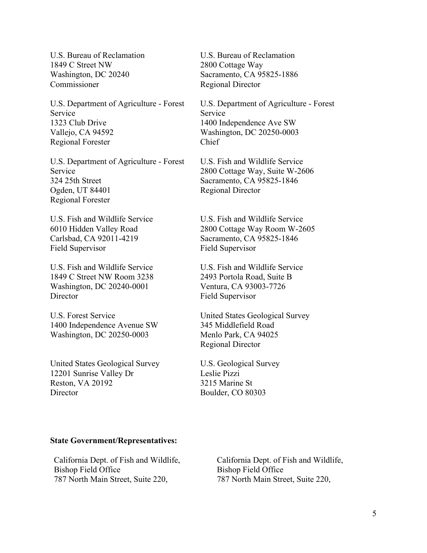U.S. Bureau of Reclamation 1849 C Street NW Washington, DC 20240 Commissioner

U.S. Department of Agriculture - Forest Service 1323 Club Drive Vallejo, CA 94592 Regional Forester

U.S. Department of Agriculture - Forest Service 324 25th Street Ogden, UT 84401 Regional Forester

U.S. Fish and Wildlife Service 6010 Hidden Valley Road Carlsbad, CA 92011-4219 Field Supervisor

U.S. Fish and Wildlife Service 1849 C Street NW Room 3238 Washington, DC 20240-0001 **Director** 

U.S. Forest Service 1400 Independence Avenue SW Washington, DC 20250-0003

United States Geological Survey 12201 Sunrise Valley Dr Reston, VA 20192 **Director** 

U.S. Bureau of Reclamation 2800 Cottage Way Sacramento, CA 95825-1886 Regional Director

U.S. Department of Agriculture - Forest Service 1400 Independence Ave SW Washington, DC 20250-0003 Chief

U.S. Fish and Wildlife Service 2800 Cottage Way, Suite W-2606 Sacramento, CA 95825-1846 Regional Director

U.S. Fish and Wildlife Service 2800 Cottage Way Room W-2605 Sacramento, CA 95825-1846 Field Supervisor

U.S. Fish and Wildlife Service 2493 Portola Road, Suite B Ventura, CA 93003-7726 Field Supervisor

United States Geological Survey 345 Middlefield Road Menlo Park, CA 94025 Regional Director

U.S. Geological Survey Leslie Pizzi 3215 Marine St Boulder, CO 80303

#### **State Government/Representatives:**

California Dept. of Fish and Wildlife, Bishop Field Office 787 North Main Street, Suite 220,

California Dept. of Fish and Wildlife, Bishop Field Office 787 North Main Street, Suite 220,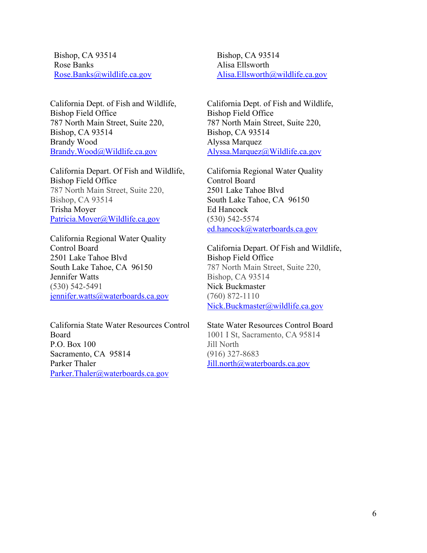Bishop, CA 93514 Rose Banks [Rose.Banks@wildlife.ca.gov](mailto:Rose.Banks@wildlife.ca.gov)

California Dept. of Fish and Wildlife, Bishop Field Office 787 North Main Street, Suite 220, Bishop, CA 93514 Brandy Wood [Brandy.Wood@Wildlife.ca.gov](mailto:Brandy.Wood@Wildlife.ca.gov)

California Depart. Of Fish and Wildlife, Bishop Field Office 787 North Main Street, Suite 220, Bishop, CA 93514 Trisha Moyer [Patricia.Moyer@Wildlife.ca.gov](mailto:Patricia.Moyer@Wildlife.ca.gov)

California Regional Water Quality Control Board 2501 Lake Tahoe Blvd South Lake Tahoe, CA 96150 Jennifer Watts (530) 542-5491 [jennifer.watts@waterboards.ca.gov](mailto:jennifer.watts@waterboards.ca.gov) 

California State Water Resources Control Board P.O. Box 100 Sacramento, CA 95814 Parker Thaler [Parker.Thaler@waterboards.ca.gov](mailto:Parker.Thaler@waterboards.ca.gov)

Bishop, CA 93514 Alisa Ellsworth [Alisa.Ellsworth@wildlife.ca.gov](mailto:Alisa.Ellsworth@wildlife.ca.gov)

California Dept. of Fish and Wildlife, Bishop Field Office 787 North Main Street, Suite 220, Bishop, CA 93514 Alyssa Marquez [Alyssa.Marquez@Wildlife.ca.gov](mailto:Alyssa.Marquez@Wildlife.ca.gov)

California Regional Water Quality Control Board 2501 Lake Tahoe Blvd South Lake Tahoe, CA 96150 Ed Hancock (530) 542-5574 [ed.hancock@waterboards.ca.gov](mailto:ed.hancock@waterboards.ca.gov) 

California Depart. Of Fish and Wildlife, Bishop Field Office 787 North Main Street, Suite 220, Bishop, CA 93514 Nick Buckmaster (760) 872-1110 [Nick.Buckmaster@wildlife.ca.gov](mailto:Nick.Buckmaster@wildlife.ca.gov)

State Water Resources Control Board 1001 I St, Sacramento, CA 95814

Jill North (916) 327-8683 [Jill.north@waterboards.ca.gov](mailto:Jill.north@waterboards.ca.gov)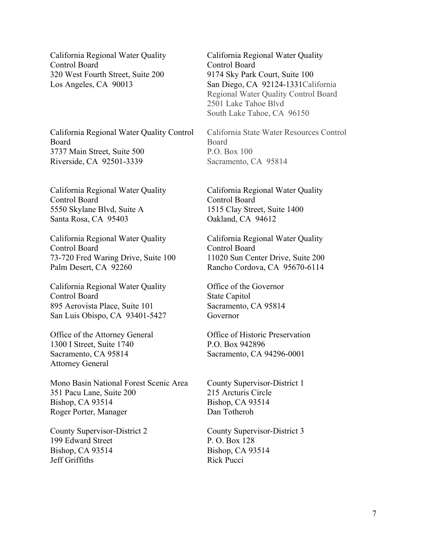California Regional Water Quality Control Board 320 West Fourth Street, Suite 200 Los Angeles, CA 90013

California Regional Water Quality Control Board 3737 Main Street, Suite 500 Riverside, CA 92501-3339

California Regional Water Quality Control Board 5550 Skylane Blvd, Suite A Santa Rosa, CA 95403

California Regional Water Quality Control Board 73-720 Fred Waring Drive, Suite 100 Palm Desert, CA 92260

California Regional Water Quality Control Board 895 Aerovista Place, Suite 101 San Luis Obispo, CA 93401-5427

Office of the Attorney General 1300 I Street, Suite 1740 Sacramento, CA 95814 Attorney General

Mono Basin National Forest Scenic Area 351 Pacu Lane, Suite 200 Bishop, CA 93514 Roger Porter, Manager

County Supervisor-District 2 199 Edward Street Bishop, CA 93514 Jeff Griffiths

California Regional Water Quality Control Board 9174 Sky Park Court, Suite 100 San Diego, CA 92124-1331California Regional Water Quality Control Board 2501 Lake Tahoe Blvd South Lake Tahoe, CA 96150

California State Water Resources Control Board P.O. Box 100 Sacramento, CA 95814

California Regional Water Quality Control Board 1515 Clay Street, Suite 1400 Oakland, CA 94612

California Regional Water Quality Control Board 11020 Sun Center Drive, Suite 200 Rancho Cordova, CA 95670-6114

Office of the Governor State Capitol Sacramento, CA 95814 Governor

Office of Historic Preservation P.O. Box 942896 Sacramento, CA 94296-0001

County Supervisor-District 1 215 Arcturis Circle Bishop, CA 93514 Dan Totheroh

County Supervisor-District 3 P. O. Box 128 Bishop, CA 93514 Rick Pucci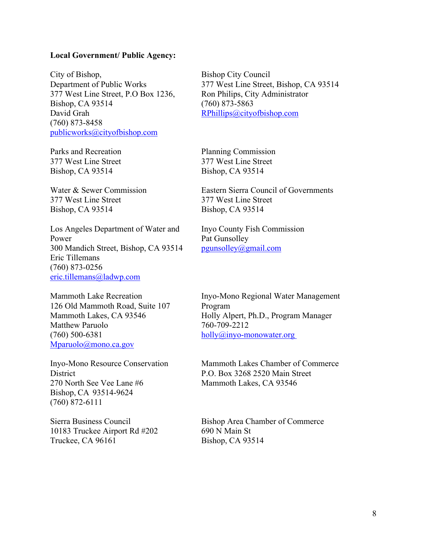#### **Local Government/ Public Agency:**

City of Bishop, Department of Public Works 377 West Line Street, P.O Box 1236, Bishop, CA 93514 David Grah (760) 873-8458 [publicworks@cityofbishop.com](mailto:publicworks@cityofbishop.com)

Parks and Recreation 377 West Line Street Bishop, CA 93514

Water & Sewer Commission 377 West Line Street Bishop, CA 93514

Los Angeles Department of Water and Power 300 Mandich Street, Bishop, CA 93514 Eric Tillemans (760) 873-0256 [eric.tillemans@ladwp.com](mailto:eric.tillemans@ladwp.com)

Mammoth Lake Recreation 126 Old Mammoth Road, Suite 107 Mammoth Lakes, CA 93546 Matthew Paruolo (760) 500-6381 [Mparuolo@mono.ca.gov](mailto:Mparuolo@mono.ca.gov)

Inyo-Mono Resource Conservation **District** 270 North See Vee Lane #6 Bishop, CA  93514-9624 (760) 872-6111

Sierra Business Council 10183 Truckee Airport Rd #202 Truckee, CA 96161

Bishop City Council 377 West Line Street, Bishop, CA 93514 Ron Philips, City Administrator (760) 873-5863 [RPhillips@cityofbishop.com](mailto:RPhillips@cityofbishop.com)

Planning Commission 377 West Line Street Bishop, CA 93514

Eastern Sierra Council of Governments 377 West Line Street Bishop, CA 93514

Inyo County Fish Commission Pat Gunsolley [pgunsolley@gmail.com](mailto:pgunsolley@gmail.com)

Inyo-Mono Regional Water Management Program Holly Alpert, Ph.D., Program Manager 760-709-2212 [holly@inyo-monowater.org](mailto:holly@inyo-monowater.org)

Mammoth Lakes Chamber of Commerce P.O. Box 3268 2520 Main Street Mammoth Lakes, CA 93546

Bishop Area Chamber of Commerce 690 N Main St Bishop, CA 93514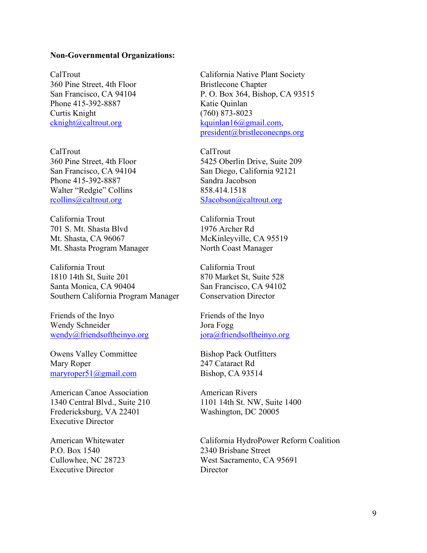#### **Non-Governmental Organizations:**

CalTrout 360 Pine Street, 4th Floor San Francisco, CA 94104 Phone 415-392-8887 Curtis Knight [cknight@caltrout.org](mailto:cknight@caltrout.org)

CalTrout 360 Pine Street, 4th Floor San Francisco, CA 94104 Phone 415-392-8887 Walter "Redgie" Collins [rcollins@caltrout.org](mailto:rcollins@caltrout.org)

California Trout 701 S. Mt. Shasta Blvd Mt. Shasta, CA 96067 Mt. Shasta Program Manager

California Trout 1810 14th St, Suite 201 Santa Monica, CA 90404 Southern California Program Manager

Friends of the Inyo Wendy Schneider [wendy@friendsoftheinyo.org](mailto:wendy@friendsoftheinyo.org)

Owens Valley Committee Mary Roper [maryroper51@gmail.com](mailto:maryroper51@gmail.com)

American Canoe Association 1340 Central Blvd., Suite 210 Fredericksburg, VA 22401 Executive Director

American Whitewater P.O. Box 1540 Cullowhee, NC 28723 Executive Director

California Native Plant Society Bristlecone Chapter P. O. Box 364, Bishop, CA 93515 Katie Quinlan (760) 873-8023 [kquinlan16@gmail.com,](mailto:kquinlan16@gmail.com) [president@bristleconecnps.org](mailto:president@bristleconecnps.org)

CalTrout 5425 Oberlin Drive, Suite 209 San Diego, California 92121 Sandra Jacobson 858.414.1518 [SJacobson@caltrout.org](mailto:SJacobson@caltrout.org)

California Trout 1976 Archer Rd McKinleyville, CA 95519 North Coast Manager

California Trout 870 Market St, Suite 528 San Francisco, CA 94102 Conservation Director

Friends of the Inyo Jora Fogg [jora@friendsoftheinyo.org](mailto:jora@friendsoftheinyo.org)

Bishop Pack Outfitters 247 Cataract Rd Bishop, CA 93514

American Rivers 1101 14th St. NW, Suite 1400 Washington, DC 20005

California HydroPower Reform Coalition 2340 Brisbane Street West Sacramento, CA 95691 **Director**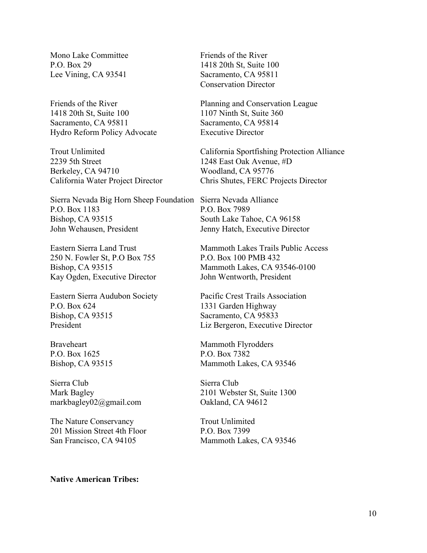Mono Lake Committee P.O. Box 29 Lee Vining, CA 93541

Friends of the River 1418 20th St, Suite 100 Sacramento, CA 95811 Hydro Reform Policy Advocate

Trout Unlimited 2239 5th Street Berkeley, CA 94710 California Water Project Director

Sierra Nevada Big Horn Sheep Foundation Sierra Nevada Alliance P.O. Box 1183 Bishop, CA 93515 John Wehausen, President

Eastern Sierra Land Trust 250 N. Fowler St, P.O Box 755 Bishop, CA 93515 Kay Ogden, Executive Director

Eastern Sierra Audubon Society P.O. Box 624 Bishop, CA 93515 President

Braveheart P.O. Box 1625 Bishop, CA 93515

Sierra Club Mark Bagley markbagley02@gmail.com

The Nature Conservancy 201 Mission Street 4th Floor San Francisco, CA 94105

Friends of the River 1418 20th St, Suite 100 Sacramento, CA 95811 Conservation Director

Planning and Conservation League 1107 Ninth St, Suite 360 Sacramento, CA 95814 Executive Director

California Sportfishing Protection Alliance 1248 East Oak Avenue, #D Woodland, CA 95776 Chris Shutes, FERC Projects Director

P.O. Box 7989 South Lake Tahoe, CA 96158 Jenny Hatch, Executive Director

Mammoth Lakes Trails Public Access P.O. Box 100 PMB 432 Mammoth Lakes, CA 93546-0100 John Wentworth, President

Pacific Crest Trails Association 1331 Garden Highway Sacramento, CA 95833 Liz Bergeron, Executive Director

Mammoth Flyrodders P.O. Box 7382 Mammoth Lakes, CA 93546

Sierra Club 2101 Webster St, Suite 1300 Oakland, CA 94612

Trout Unlimited P.O. Box 7399 Mammoth Lakes, CA 93546

### **Native American Tribes:**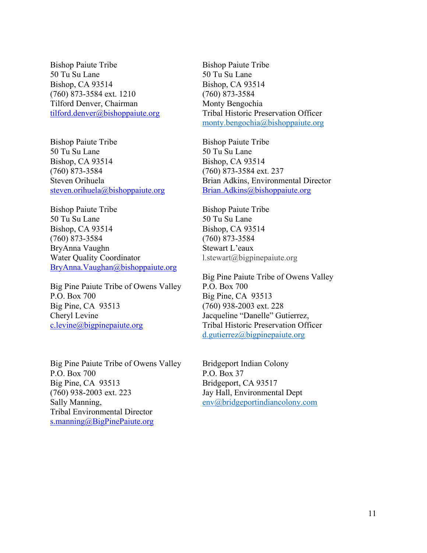Bishop Paiute Tribe 50 Tu Su Lane Bishop, CA 93514 (760) 873-3584 ext. 1210 Tilford Denver, Chairman [tilford.denver@bishoppaiute.org](mailto:tilford.denver@bishoppaiute.org)

Bishop Paiute Tribe 50 Tu Su Lane Bishop, CA 93514 (760) 873-3584 Steven Orihuela [steven.orihuela@bishoppaiute.org](mailto:steven.orihuela@bishoppaiute.org)

Bishop Paiute Tribe 50 Tu Su Lane Bishop, CA 93514 (760) 873-3584 BryAnna Vaughn Water Quality Coordinator [BryAnna.Vaughan@bishoppaiute.org](mailto:BryAnna.Vaughan@bishoppaiute.org)

Big Pine Paiute Tribe of Owens Valley P.O. Box 700 Big Pine, CA 93513 Cheryl Levine [c.levine@bigpinepaiute.org](mailto:c.levine@bigpinepaiute.org)

Big Pine Paiute Tribe of Owens Valley P.O. Box 700 Big Pine, CA 93513 (760) 938-2003 ext. 223 Sally Manning, Tribal Environmental Director [s.manning@BigPinePaiute.org](mailto:s.manning@BigPinePaiute.org)

Bishop Paiute Tribe 50 Tu Su Lane Bishop, CA 93514 (760) 873-3584 Monty Bengochia Tribal Historic Preservation Officer [monty.bengochia@bishoppaiute.org](mailto:monty.bengochia@bishoppaiute.org)

Bishop Paiute Tribe 50 Tu Su Lane Bishop, CA 93514 (760) 873-3584 ext. 237 Brian Adkins, Environmental Director [Brian.Adkins@bishoppaiute.org](mailto:Brian.Adkins@bishoppaiute.org)

Bishop Paiute Tribe 50 Tu Su Lane Bishop, CA 93514 (760) 873-3584 Stewart L'eaux l.stewart@bigpinepaiute.org

Big Pine Paiute Tribe of Owens Valley P.O. Box 700 Big Pine, CA 93513 (760) 938-2003 ext. 228 Jacqueline "Danelle" Gutierrez, Tribal Historic Preservation Officer [d.gutierrez@bigpinepaiute.org](mailto:d.gutierrez@bigpinepaiute.org)

Bridgeport Indian Colony P.O. Box 37 Bridgeport, CA 93517 Jay Hall, Environmental Dept [env@bridgeportindiancolony.com](mailto:env@bridgeportindiancolony.com)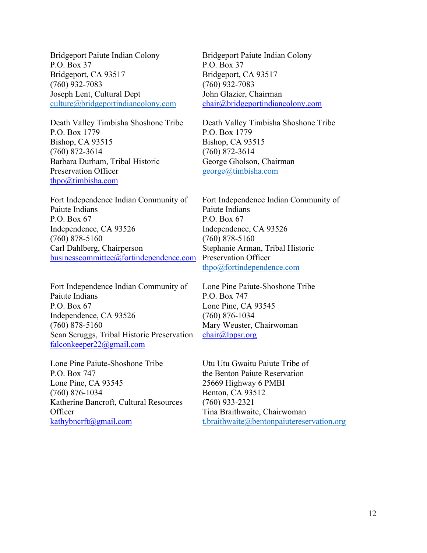Bridgeport Paiute Indian Colony P.O. Box 37 Bridgeport, CA 93517 (760) 932-7083 Joseph Lent, Cultural Dept [culture@bridgeportindiancolony.com](mailto:culture@bridgeportindiancolony.com)

Death Valley Timbisha Shoshone Tribe P.O. Box 1779 Bishop, CA 93515 (760) 872-3614 Barbara Durham, Tribal Historic Preservation Officer [thpo@timbisha.com](mailto:thpo@timbisha.com)

Fort Independence Indian Community of Paiute Indians P.O. Box 67 Independence, CA 93526 (760) 878-5160 Carl Dahlberg, Chairperson [businesscommittee@fortindependence.com](mailto:businesscommittee@fortindependence.com)

Fort Independence Indian Community of Paiute Indians P.O. Box 67 Independence, CA 93526 (760) 878-5160 Sean Scruggs, Tribal Historic Preservation [falconkeeper22@gmail.com](mailto:falconkeeper22@gmail.com)

Lone Pine Paiute-Shoshone Tribe P.O. Box 747 Lone Pine, CA 93545 (760) 876-1034 Katherine Bancroft, Cultural Resources **Officer** [kathybncrft@gmail.com](mailto:kathybncrft@gmail.com)

Bridgeport Paiute Indian Colony P.O. Box 37 Bridgeport, CA 93517 (760) 932-7083 John Glazier, Chairman [chair@bridgeportindiancolony.com](mailto:chair@bridgeportindiancolony.com)

Death Valley Timbisha Shoshone Tribe P.O. Box 1779 Bishop, CA 93515 (760) 872-3614 George Gholson, Chairman [george@timbisha.com](mailto:george@timbisha.com)

Fort Independence Indian Community of Paiute Indians P.O. Box 67 Independence, CA 93526 (760) 878-5160 Stephanie Arman, Tribal Historic Preservation Officer [thpo@fortindependence.com](mailto:thpo@fortindependence.com)

Lone Pine Paiute-Shoshone Tribe P.O. Box 747 Lone Pine, CA 93545 (760) 876-1034 Mary Weuster, Chairwoman [chair@lppsr.org](mailto:chair@lppsr.org)

Utu Utu Gwaitu Paiute Tribe of the Benton Paiute Reservation 25669 Highway 6 PMBI Benton, CA 93512 (760) 933-2321 Tina Braithwaite, Chairwoman [t.braithwaite@bentonpaiutereservation.org](mailto:t.braithwaite@bentonpaiutereservation.org)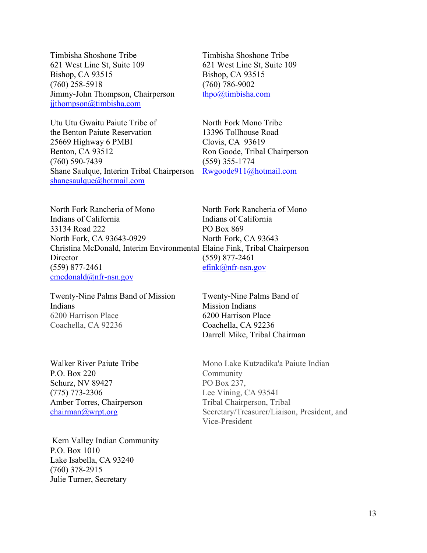Timbisha Shoshone Tribe 621 West Line St, Suite 109 Bishop, CA 93515 (760) 258-5918 Jimmy-John Thompson, Chairperson jithompson@timbisha.com

Utu Utu Gwaitu Paiute Tribe of the Benton Paiute Reservation 25669 Highway 6 PMBI Benton, CA 93512 (760) 590-7439 Shane Saulque, Interim Tribal Chairperson [shanesaulque@hotmail.com](mailto:shanesaulque@hotmail.com)

Timbisha Shoshone Tribe 621 West Line St, Suite 109 Bishop, CA 93515 (760) 786-9002 [thpo@timbisha.com](mailto:thpo@timbisha.com)

North Fork Mono Tribe 13396 Tollhouse Road Clovis, CA 93619 Ron Goode, Tribal Chairperson (559) 355-1774 [Rwgoode911@hotmail.com](mailto:Rwgoode911@hotmail.com)

North Fork Rancheria of Mono Indians of California 33134 Road 222 North Fork, CA 93643-0929 Christina McDonald, Interim Environmental Elaine Fink, Tribal Chairperson **Director** (559) 877-2461 [cmcdonald@nfr-nsn.gov](mailto:cmcdonald@nfr-nsn.gov) PO Box 869 (559) 877-2461

Twenty-Nine Palms Band of Mission Indians 6200 Harrison Place Coachella, CA 92236

Walker River Paiute Tribe P.O. Box 220 Schurz, NV 89427 (775) 773-2306 Amber Torres, Chairperson [chairman@wrpt.org](mailto:chairman@wrpt.org)

Kern Valley Indian Community P.O. Box 1010 Lake Isabella, CA 93240 (760) 378-2915 Julie Turner, Secretary

North Fork Rancheria of Mono Indians of California North Fork, CA 93643 [efink@nfr-nsn.gov](mailto:efink@nfr-nsn.gov)

Twenty-Nine Palms Band of Mission Indians 6200 Harrison Place Coachella, CA 92236 Darrell Mike, Tribal Chairman

Mono Lake Kutzadika'a Paiute Indian Community PO Box 237, Lee Vining, CA 93541 Tribal Chairperson, Tribal Secretary/Treasurer/Liaison, President, and Vice-President